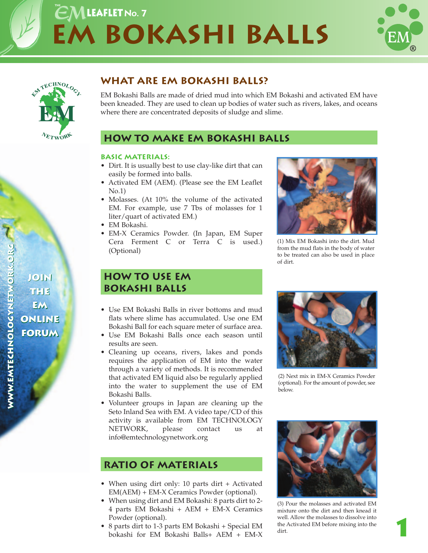# **EM Bokashi Balls**  $EM$ LEAFLET No. 7





## **What are EM Bokashi balls?**

EM Bokashi Balls are made of dried mud into which EM Bokashi and activated EM have been kneaded. They are used to clean up bodies of water such as rivers, lakes, and oceans where there are concentrated deposits of sludge and slime.

## **how to make EM bokashi balls**

### **basic MATERIALS:**

- Dirt. It is usually best to use clay-like dirt that can easily be formed into balls.
- Activated EM (AEM). (Please see the EM Leaflet No.1)
- Molasses. (At 10% the volume of the activated EM. For example, use 7 Tbs of molasses for 1 liter/quart of activated EM.)
- EM Bokashi.
- EM-X Ceramics Powder. (In Japan, EM Super Cera Ferment C or Terra C is used.) (Optional)

## **How to Use EM Bokashi Balls**

- Use EM Bokashi Balls in river bottoms and mud flats where slime has accumulated. Use one EM Bokashi Ball for each square meter of surface area.
- Use EM Bokashi Balls once each season until results are seen.
- Cleaning up oceans, rivers, lakes and ponds requires the application of EM into the water through a variety of methods. It is recommended that activated EM liquid also be regularly applied into the water to supplement the use of EM Bokashi Balls.
- Volunteer groups in Japan are cleaning up the Seto Inland Sea with EM. A video tape/CD of this activity is available from EM TECHNOLOGY NETWORK, please contact us at info@emtechnologynetwork.org

## **Ratio of Materials**

- When using dirt only: 10 parts dirt + Activated EM(AEM) + EM-X Ceramics Powder (optional).
- When using dirt and EM Bokashi: 8 parts dirt to 2- 4 parts EM Bokashi + AEM + EM-X Ceramics Powder (optional).
- 8 parts dirt to 1-3 parts EM Bokashi + Special EM bokashi for EM Bokashi Balls+ AEM + EM-X



(1) Mix EM Bokashi into the dirt. Mud from the mud flats in the body of water to be treated can also be used in place of dirt.



(2) Next mix in EM-X Ceramics Powder (optional). For the amount of powder, see below.



(3) Pour the molasses and activated EM mixture onto the dirt and then knead it well. Allow the molasses to dissolve into the Activated EM before mixing into the dirt.

**1**

**join join**

**the the**

**em em**